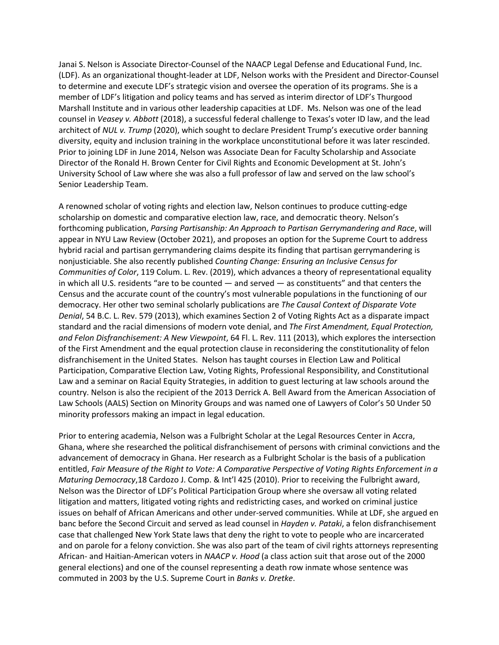Janai S. Nelson is Associate Director-Counsel of the NAACP Legal Defense and Educational Fund, Inc. (LDF). As an organizational thought-leader at LDF, Nelson works with the President and Director-Counsel to determine and execute LDF's strategic vision and oversee the operation of its programs. She is a member of LDF's litigation and policy teams and has served as interim director of LDF's Thurgood Marshall Institute and in various other leadership capacities at LDF. Ms. Nelson was one of the lead counsel in *Veasey v. Abbott* (2018), a successful federal challenge to Texas's voter ID law, and the lead architect of *NUL v. Trump* (2020), which sought to declare President Trump's executive order banning diversity, equity and inclusion training in the workplace unconstitutional before it was later rescinded. Prior to joining LDF in June 2014, Nelson was Associate Dean for Faculty Scholarship and Associate Director of the Ronald H. Brown Center for Civil Rights and Economic Development at St. John's University School of Law where she was also a full professor of law and served on the law school's Senior Leadership Team.

A renowned scholar of voting rights and election law, Nelson continues to produce cutting-edge scholarship on domestic and comparative election law, race, and democratic theory. Nelson's forthcoming publication, *Parsing Partisanship: An Approach to Partisan Gerrymandering and Race*, will appear in NYU Law Review (October 2021), and proposes an option for the Supreme Court to address hybrid racial and partisan gerrymandering claims despite its finding that partisan gerrymandering is nonjusticiable. She also recently published *Counting Change: Ensuring an Inclusive Census for Communities of Color*, 119 Colum. L. Rev. (2019), which advances a theory of representational equality in which all U.S. residents "are to be counted — and served — as constituents" and that centers the Census and the accurate count of the country's most vulnerable populations in the functioning of our democracy. Her other two seminal scholarly publications are *The Causal Context of Disparate Vote Denial*, 54 B.C. L. Rev. 579 (2013), which examines Section 2 of Voting Rights Act as a disparate impact standard and the racial dimensions of modern vote denial, and *The First Amendment, Equal Protection, and Felon Disfranchisement: A New Viewpoint*, 64 Fl. L. Rev. 111 (2013), which explores the intersection of the First Amendment and the equal protection clause in reconsidering the constitutionality of felon disfranchisement in the United States. Nelson has taught courses in Election Law and Political Participation, Comparative Election Law, Voting Rights, Professional Responsibility, and Constitutional Law and a seminar on Racial Equity Strategies, in addition to guest lecturing at law schools around the country. Nelson is also the recipient of the 2013 Derrick A. Bell Award from the American Association of Law Schools (AALS) Section on Minority Groups and was named one of Lawyers of Color's 50 Under 50 minority professors making an impact in legal education.

Prior to entering academia, Nelson was a Fulbright Scholar at the Legal Resources Center in Accra, Ghana, where she researched the political disfranchisement of persons with criminal convictions and the advancement of democracy in Ghana. Her research as a Fulbright Scholar is the basis of a publication entitled, *Fair Measure of the Right to Vote: A Comparative Perspective of Voting Rights Enforcement in a Maturing Democracy*,18 Cardozo J. Comp. & Int'l 425 (2010). Prior to receiving the Fulbright award, Nelson was the Director of LDF's Political Participation Group where she oversaw all voting related litigation and matters, litigated voting rights and redistricting cases, and worked on criminal justice issues on behalf of African Americans and other under-served communities. While at LDF, she argued en banc before the Second Circuit and served as lead counsel in *Hayden v. Pataki*, a felon disfranchisement case that challenged New York State laws that deny the right to vote to people who are incarcerated and on parole for a felony conviction. She was also part of the team of civil rights attorneys representing African- and Haitian-American voters in *NAACP v. Hood* (a class action suit that arose out of the 2000 general elections) and one of the counsel representing a death row inmate whose sentence was commuted in 2003 by the U.S. Supreme Court in *Banks v. Dretke*.